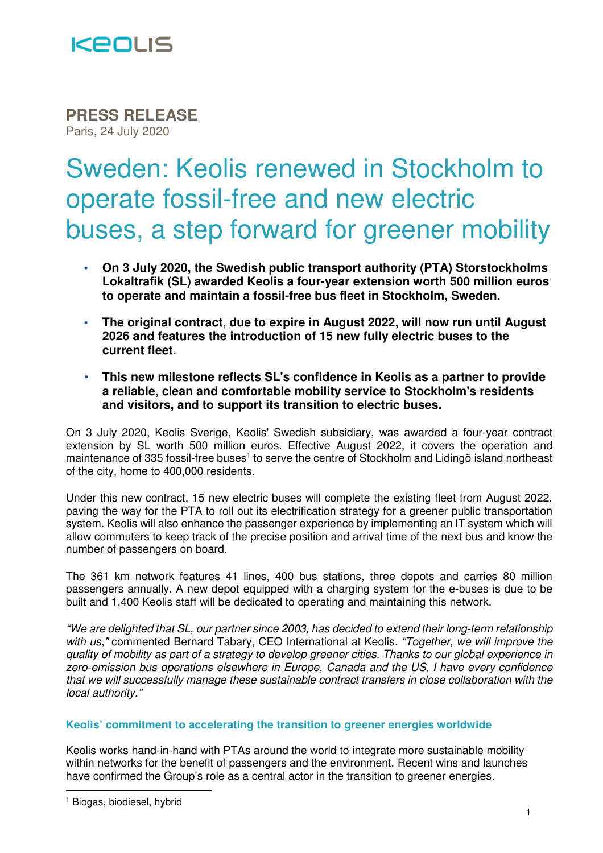

**PRESS RELEASE** Paris, 24 July 2020

# Sweden: Keolis renewed in Stockholm to operate fossil-free and new electric buses, a step forward for greener mobility

- **On 3 July 2020, the Swedish public transport authority (PTA) Storstockholms Lokaltrafik (SL) awarded Keolis a four-year extension worth 500 million euros to operate and maintain a fossil-free bus fleet in Stockholm, Sweden.**
- **The original contract, due to expire in August 2022, will now run until August 2026 and features the introduction of 15 new fully electric buses to the current fleet.**
- **This new milestone reflects SL's confidence in Keolis as a partner to provide a reliable, clean and comfortable mobility service to Stockholm's residents and visitors, and to support its transition to electric buses.**

On 3 July 2020, Keolis Sverige, Keolis' Swedish subsidiary, was awarded a four-year contract extension by SL worth 500 million euros. Effective August 2022, it covers the operation and maintenance of 335 fossil-free buses<sup>1</sup> to serve the centre of Stockholm and Lidingö island northeast of the city, home to 400,000 residents.

Under this new contract, 15 new electric buses will complete the existing fleet from August 2022, paving the way for the PTA to roll out its electrification strategy for a greener public transportation system. Keolis will also enhance the passenger experience by implementing an IT system which will allow commuters to keep track of the precise position and arrival time of the next bus and know the number of passengers on board.

The 361 km network features 41 lines, 400 bus stations, three depots and carries 80 million passengers annually. A new depot equipped with a charging system for the e-buses is due to be built and 1,400 Keolis staff will be dedicated to operating and maintaining this network.

"We are delighted that SL, our partner since 2003, has decided to extend their long-term relationship with us," commented Bernard Tabary, CEO International at Keolis. "Together, we will improve the quality of mobility as part of a strategy to develop greener cities. Thanks to our global experience in zero-emission bus operations elsewhere in Europe, Canada and the US, I have every confidence that we will successfully manage these sustainable contract transfers in close collaboration with the local authority."

#### **Keolis' commitment to accelerating the transition to greener energies worldwide**

Keolis works hand-in-hand with PTAs around the world to integrate more sustainable mobility within networks for the benefit of passengers and the environment. Recent wins and launches have confirmed the Group's role as a central actor in the transition to greener energies.

 $\overline{a}$ 

<sup>1</sup> Biogas, biodiesel, hybrid